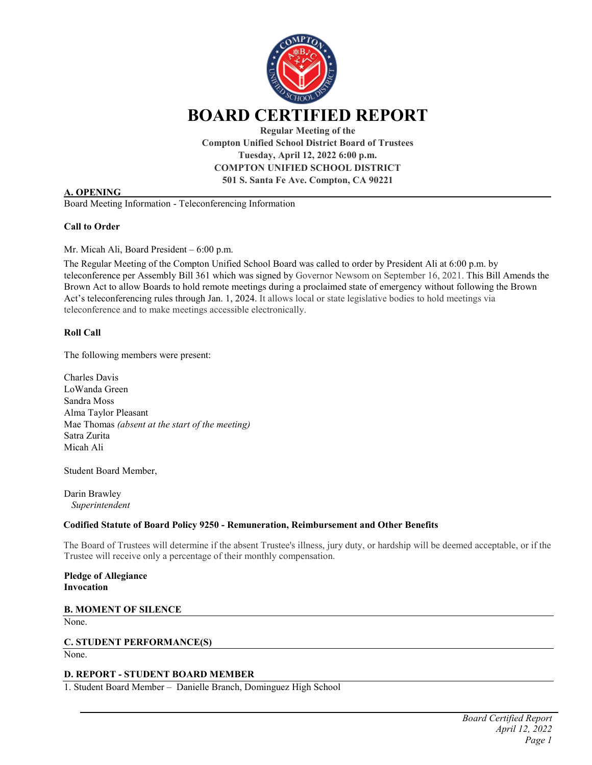

**Compton Unified School District Board of Trustees Tuesday, April 12, 2022 6:00 p.m. COMPTON UNIFIED SCHOOL DISTRICT 501 S. Santa Fe Ave. Compton, CA 90221**

#### **A. OPENING**

Board Meeting Information - Teleconferencing Information

#### **Call to Order**

Mr. Micah Ali, Board President – 6:00 p.m.

The Regular Meeting of the Compton Unified School Board was called to order by President Ali at 6:00 p.m. by teleconference per Assembly Bill 361 which was signed by Governor Newsom on September 16, 2021. This Bill Amends the Brown Act to allow Boards to hold remote meetings during a proclaimed state of emergency without following the Brown Act's teleconferencing rules through Jan. 1, 2024. It allows local or state legislative bodies to hold meetings via teleconference and to make meetings accessible electronically.

#### **Roll Call**

The following members were present:

Charles Davis LoWanda Green Sandra Moss Alma Taylor Pleasant Mae Thomas *(absent at the start of the meeting)* Satra Zurita Micah Ali

Student Board Member,

Darin Brawley *Superintendent* 

#### **Codified Statute of Board Policy 9250 - Remuneration, Reimbursement and Other Benefits**

The Board of Trustees will determine if the absent Trustee's illness, jury duty, or hardship will be deemed acceptable, or if the Trustee will receive only a percentage of their monthly compensation.

**Pledge of Allegiance Invocation**

**B. MOMENT OF SILENCE** None.

**C. STUDENT PERFORMANCE(S)**

None.

# **D. REPORT - STUDENT BOARD MEMBER**

1. Student Board Member – Danielle Branch, Dominguez High School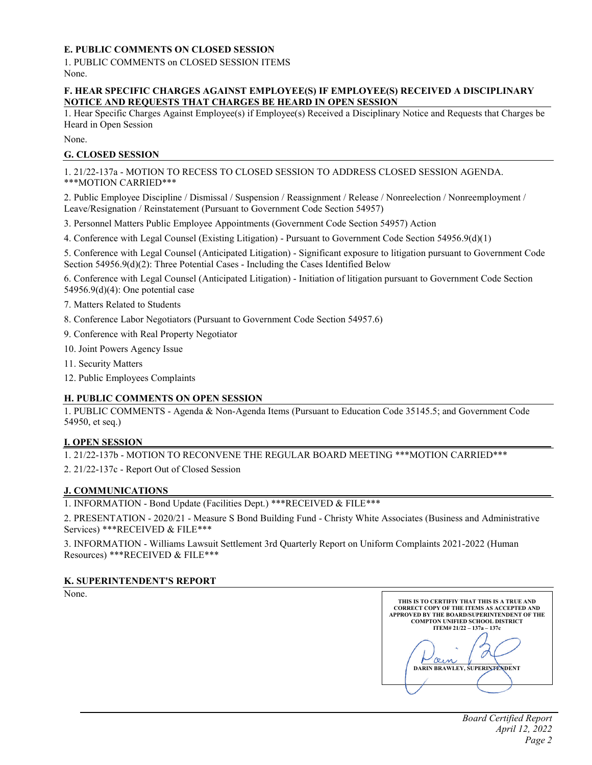# **E. PUBLIC COMMENTS ON CLOSED SESSION**

1. PUBLIC COMMENTS on CLOSED SESSION ITEMS None.

#### **F. HEAR SPECIFIC CHARGES AGAINST EMPLOYEE(S) IF EMPLOYEE(S) RECEIVED A DISCIPLINARY NOTICE AND REQUESTS THAT CHARGES BE HEARD IN OPEN SESSION**

1. Hear Specific Charges Against Employee(s) if Employee(s) Received a Disciplinary Notice and Requests that Charges be Heard in Open Session

None.

# **G. CLOSED SESSION**

1. 21/22-137a - MOTION TO RECESS TO CLOSED SESSION TO ADDRESS CLOSED SESSION AGENDA. \*\*\*MOTION CARRIED\*\*\*

2. Public Employee Discipline / Dismissal / Suspension / Reassignment / Release / Nonreelection / Nonreemployment / Leave/Resignation / Reinstatement (Pursuant to Government Code Section 54957)

3. Personnel Matters Public Employee Appointments (Government Code Section 54957) Action

4. Conference with Legal Counsel (Existing Litigation) - Pursuant to Government Code Section 54956.9(d)(1)

5. Conference with Legal Counsel (Anticipated Litigation) - Significant exposure to litigation pursuant to Government Code Section 54956.9(d)(2): Three Potential Cases - Including the Cases Identified Below

6. Conference with Legal Counsel (Anticipated Litigation) - Initiation of litigation pursuant to Government Code Section 54956.9(d)(4): One potential case

7. Matters Related to Students

- 8. Conference Labor Negotiators (Pursuant to Government Code Section 54957.6)
- 9. Conference with Real Property Negotiator
- 10. Joint Powers Agency Issue
- 11. Security Matters
- 12. Public Employees Complaints

#### **H. PUBLIC COMMENTS ON OPEN SESSION**

1. PUBLIC COMMENTS - Agenda & Non-Agenda Items (Pursuant to Education Code 35145.5; and Government Code 54950, et seq.)

### **I. OPEN SESSION**

1. 21/22-137b - MOTION TO RECONVENE THE REGULAR BOARD MEETING \*\*\*MOTION CARRIED\*\*\*

2. 21/22-137c - Report Out of Closed Session

#### **J. COMMUNICATIONS**

1. INFORMATION - Bond Update (Facilities Dept.) \*\*\*RECEIVED & FILE\*\*\*

2. PRESENTATION - 2020/21 - Measure S Bond Building Fund - Christy White Associates (Business and Administrative Services) \*\*\*RECEIVED & FILE\*\*\*

3. INFORMATION - Williams Lawsuit Settlement 3rd Quarterly Report on Uniform Complaints 2021-2022 (Human Resources) \*\*\*RECEIVED & FILE\*\*\*

#### **K. SUPERINTENDENT'S REPORT**

None.

**THIS IS TO CERTIFIY THAT THIS IS A TRUE AND CORRECT COPY OF THE ITEMS AS ACCEPTED AND APPROVED BY THE BOARD/SUPERINTENDENT OF THE COMPTON UNIFIED SCHOOL DISTRICT ITEM# 21/22 – 137a – 137c DARIN BRAWLEY, SUPERINTENDENT**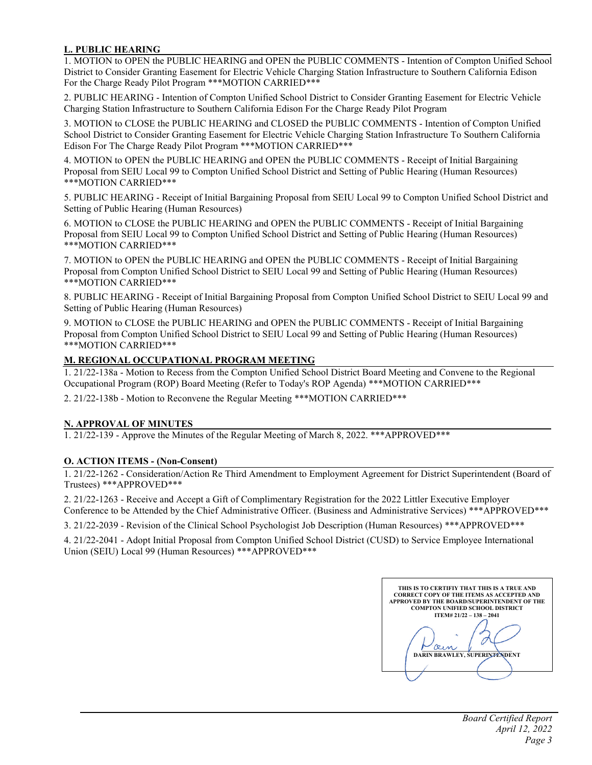# **L. PUBLIC HEARING**

1. MOTION to OPEN the PUBLIC HEARING and OPEN the PUBLIC COMMENTS - Intention of Compton Unified School District to Consider Granting Easement for Electric Vehicle Charging Station Infrastructure to Southern California Edison For the Charge Ready Pilot Program \*\*\*MOTION CARRIED\*\*\*

2. PUBLIC HEARING - Intention of Compton Unified School District to Consider Granting Easement for Electric Vehicle Charging Station Infrastructure to Southern California Edison For the Charge Ready Pilot Program

3. MOTION to CLOSE the PUBLIC HEARING and CLOSED the PUBLIC COMMENTS - Intention of Compton Unified School District to Consider Granting Easement for Electric Vehicle Charging Station Infrastructure To Southern California Edison For The Charge Ready Pilot Program \*\*\*MOTION CARRIED\*\*\*

4. MOTION to OPEN the PUBLIC HEARING and OPEN the PUBLIC COMMENTS - Receipt of Initial Bargaining Proposal from SEIU Local 99 to Compton Unified School District and Setting of Public Hearing (Human Resources) \*\*\*MOTION CARRIED\*\*\*

5. PUBLIC HEARING - Receipt of Initial Bargaining Proposal from SEIU Local 99 to Compton Unified School District and Setting of Public Hearing (Human Resources)

6. MOTION to CLOSE the PUBLIC HEARING and OPEN the PUBLIC COMMENTS - Receipt of Initial Bargaining Proposal from SEIU Local 99 to Compton Unified School District and Setting of Public Hearing (Human Resources) \*\*\*MOTION CARRIED\*\*\*

7. MOTION to OPEN the PUBLIC HEARING and OPEN the PUBLIC COMMENTS - Receipt of Initial Bargaining Proposal from Compton Unified School District to SEIU Local 99 and Setting of Public Hearing (Human Resources) \*\*\*MOTION CARRIED\*\*\*

8. PUBLIC HEARING - Receipt of Initial Bargaining Proposal from Compton Unified School District to SEIU Local 99 and Setting of Public Hearing (Human Resources)

9. MOTION to CLOSE the PUBLIC HEARING and OPEN the PUBLIC COMMENTS - Receipt of Initial Bargaining Proposal from Compton Unified School District to SEIU Local 99 and Setting of Public Hearing (Human Resources) \*\*\*MOTION CARRIED\*\*\*

### **M. REGIONAL OCCUPATIONAL PROGRAM MEETING**

1. 21/22-138a - Motion to Recess from the Compton Unified School District Board Meeting and Convene to the Regional Occupational Program (ROP) Board Meeting (Refer to Today's ROP Agenda) \*\*\*MOTION CARRIED\*\*\*

2. 21/22-138b - Motion to Reconvene the Regular Meeting \*\*\*MOTION CARRIED\*\*\*

#### **N. APPROVAL OF MINUTES**

1. 21/22-139 - Approve the Minutes of the Regular Meeting of March 8, 2022. \*\*\*APPROVED\*\*\*

#### **O. ACTION ITEMS - (Non-Consent)**

1. 21/22-1262 - Consideration/Action Re Third Amendment to Employment Agreement for District Superintendent (Board of Trustees) \*\*\*APPROVED\*\*\*

2. 21/22-1263 - Receive and Accept a Gift of Complimentary Registration for the 2022 Littler Executive Employer Conference to be Attended by the Chief Administrative Officer. (Business and Administrative Services) \*\*\*APPROVED\*\*\*

3. 21/22-2039 - Revision of the Clinical School Psychologist Job Description (Human Resources) \*\*\*APPROVED\*\*\*

4. 21/22-2041 - Adopt Initial Proposal from Compton Unified School District (CUSD) to Service Employee International Union (SEIU) Local 99 (Human Resources) \*\*\*APPROVED\*\*\*

**THIS IS TO CERTIFIY THAT THIS IS A TRUE AND CORRECT COPY OF THE ITEMS AS ACCEPTED AND APPROVED BY THE BOARD/SUPERINTENDENT OF THE COMPTON UNIFIED SCHOOL DISTRICT ITEM# 21/22 – 138 – 2041 DARIN BRAWLEY, SUPERINTENDENT**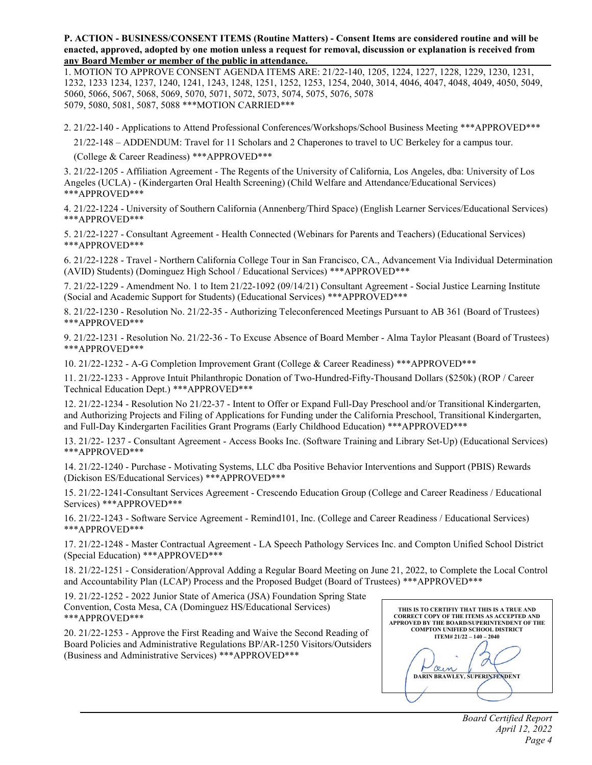**P. ACTION - BUSINESS/CONSENT ITEMS (Routine Matters) - Consent Items are considered routine and will be enacted, approved, adopted by one motion unless a request for removal, discussion or explanation is received from any Board Member or member of the public in attendance.** 

1. MOTION TO APPROVE CONSENT AGENDA ITEMS ARE: 21/22-140, 1205, 1224, 1227, 1228, 1229, 1230, 1231, 1232, 1233 1234, 1237, 1240, 1241, 1243, 1248, 1251, 1252, 1253, 1254, 2040, 3014, 4046, 4047, 4048, 4049, 4050, 5049, 5060, 5066, 5067, 5068, 5069, 5070, 5071, 5072, 5073, 5074, 5075, 5076, 5078 5079, 5080, 5081, 5087, 5088 \*\*\*MOTION CARRIED\*\*\*

2. 21/22-140 - Applications to Attend Professional Conferences/Workshops/School Business Meeting \*\*\*APPROVED\*\*\*

21/22-148 – ADDENDUM: Travel for 11 Scholars and 2 Chaperones to travel to UC Berkeley for a campus tour.

(College & Career Readiness) \*\*\*APPROVED\*\*\*

3. 21/22-1205 - Affiliation Agreement - The Regents of the University of California, Los Angeles, dba: University of Los Angeles (UCLA) - (Kindergarten Oral Health Screening) (Child Welfare and Attendance/Educational Services) \*\*\*APPROVED\*\*\*

4. 21/22-1224 - University of Southern California (Annenberg/Third Space) (English Learner Services/Educational Services) \*\*\*APPROVED\*\*\*

5. 21/22-1227 - Consultant Agreement - Health Connected (Webinars for Parents and Teachers) (Educational Services) \*\*\*APPROVED\*\*\*

6. 21/22-1228 - Travel - Northern California College Tour in San Francisco, CA., Advancement Via Individual Determination (AVID) Students) (Dominguez High School / Educational Services) \*\*\*APPROVED\*\*\*

7. 21/22-1229 - Amendment No. 1 to Item 21/22-1092 (09/14/21) Consultant Agreement - Social Justice Learning Institute (Social and Academic Support for Students) (Educational Services) \*\*\*APPROVED\*\*\*

8. 21/22-1230 - Resolution No. 21/22-35 - Authorizing Teleconferenced Meetings Pursuant to AB 361 (Board of Trustees) \*\*\*APPROVED\*\*\*

9. 21/22-1231 - Resolution No. 21/22-36 - To Excuse Absence of Board Member - Alma Taylor Pleasant (Board of Trustees) \*\*\*APPROVED\*\*\*

10. 21/22-1232 - A-G Completion Improvement Grant (College & Career Readiness) \*\*\*APPROVED\*\*\*

11. 21/22-1233 - Approve Intuit Philanthropic Donation of Two-Hundred-Fifty-Thousand Dollars (\$250k) (ROP / Career Technical Education Dept.) \*\*\*APPROVED\*\*\*

12. 21/22-1234 - Resolution No 21/22-37 - Intent to Offer or Expand Full-Day Preschool and/or Transitional Kindergarten, and Authorizing Projects and Filing of Applications for Funding under the California Preschool, Transitional Kindergarten, and Full-Day Kindergarten Facilities Grant Programs (Early Childhood Education) \*\*\*APPROVED\*\*\*

13. 21/22- 1237 - Consultant Agreement - Access Books Inc. (Software Training and Library Set-Up) (Educational Services) \*\*\*APPROVED\*\*\*

14. 21/22-1240 - Purchase - Motivating Systems, LLC dba Positive Behavior Interventions and Support (PBIS) Rewards (Dickison ES/Educational Services) \*\*\*APPROVED\*\*\*

15. 21/22-1241-Consultant Services Agreement - Crescendo Education Group (College and Career Readiness / Educational Services) \*\*\*APPROVED\*\*\*

16. 21/22-1243 - Software Service Agreement - Remind101, Inc. (College and Career Readiness / Educational Services) \*\*\*APPROVED\*\*\*

17. 21/22-1248 - Master Contractual Agreement - LA Speech Pathology Services Inc. and Compton Unified School District (Special Education) \*\*\*APPROVED\*\*\*

18. 21/22-1251 - Consideration/Approval Adding a Regular Board Meeting on June 21, 2022, to Complete the Local Control and Accountability Plan (LCAP) Process and the Proposed Budget (Board of Trustees) \*\*\*APPROVED\*\*\*

19. 21/22-1252 - 2022 Junior State of America (JSA) Foundation Spring State Convention, Costa Mesa, CA (Dominguez HS/Educational Services) \*\*\*APPROVED\*\*\*

20. 21/22-1253 - Approve the First Reading and Waive the Second Reading of Board Policies and Administrative Regulations BP/AR-1250 Visitors/Outsiders (Business and Administrative Services) \*\*\*APPROVED\*\*\*

| THIS IS TO CERTIFIY THAT THIS IS A TRUE AND<br><b>CORRECT COPY OF THE ITEMS AS ACCEPTED AND</b><br><b>APPROVED BY THE BOARD/SUPERINTENDENT OF THE</b><br><b>COMPTON UNIFIED SCHOOL DISTRICT</b> |
|-------------------------------------------------------------------------------------------------------------------------------------------------------------------------------------------------|
| $ITEM# 21/22 - 140 - 2040$                                                                                                                                                                      |
| <b>DARIN BRAWLEY, SUPERINTENDENT</b>                                                                                                                                                            |
|                                                                                                                                                                                                 |
|                                                                                                                                                                                                 |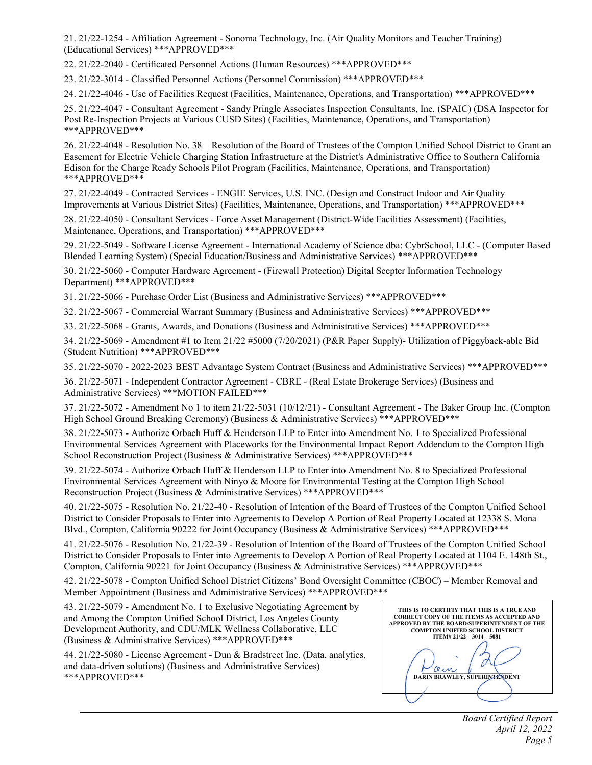21. 21/22-1254 - Affiliation Agreement - Sonoma Technology, Inc. (Air Quality Monitors and Teacher Training) (Educational Services) \*\*\*APPROVED\*\*\*

22. 21/22-2040 - Certificated Personnel Actions (Human Resources) \*\*\*APPROVED\*\*\*

23. 21/22-3014 - Classified Personnel Actions (Personnel Commission) \*\*\*APPROVED\*\*\*

24. 21/22-4046 - Use of Facilities Request (Facilities, Maintenance, Operations, and Transportation) \*\*\*APPROVED\*\*\*

25. 21/22-4047 - Consultant Agreement - Sandy Pringle Associates Inspection Consultants, Inc. (SPAIC) (DSA Inspector for Post Re-Inspection Projects at Various CUSD Sites) (Facilities, Maintenance, Operations, and Transportation) \*\*\*APPROVED\*\*\*

26. 21/22-4048 - Resolution No. 38 – Resolution of the Board of Trustees of the Compton Unified School District to Grant an Easement for Electric Vehicle Charging Station Infrastructure at the District's Administrative Office to Southern California Edison for the Charge Ready Schools Pilot Program (Facilities, Maintenance, Operations, and Transportation) \*\*\*APPROVED\*\*\*

27. 21/22-4049 - Contracted Services - ENGIE Services, U.S. INC. (Design and Construct Indoor and Air Quality Improvements at Various District Sites) (Facilities, Maintenance, Operations, and Transportation) \*\*\*APPROVED\*\*\*

28. 21/22-4050 - Consultant Services - Force Asset Management (District-Wide Facilities Assessment) (Facilities, Maintenance, Operations, and Transportation) \*\*\*APPROVED\*\*\*

29. 21/22-5049 - Software License Agreement - International Academy of Science dba: CybrSchool, LLC - (Computer Based Blended Learning System) (Special Education/Business and Administrative Services) \*\*\*APPROVED\*\*\*

30. 21/22-5060 - Computer Hardware Agreement - (Firewall Protection) Digital Scepter Information Technology Department) \*\*\*APPROVED\*\*\*

31. 21/22-5066 - Purchase Order List (Business and Administrative Services) \*\*\*APPROVED\*\*\*

32. 21/22-5067 - Commercial Warrant Summary (Business and Administrative Services) \*\*\*APPROVED\*\*\*

33. 21/22-5068 - Grants, Awards, and Donations (Business and Administrative Services) \*\*\*APPROVED\*\*\*

34. 21/22-5069 - Amendment #1 to Item 21/22 #5000 (7/20/2021) (P&R Paper Supply)- Utilization of Piggyback-able Bid (Student Nutrition) \*\*\*APPROVED\*\*\*

35. 21/22-5070 - 2022-2023 BEST Advantage System Contract (Business and Administrative Services) \*\*\*APPROVED\*\*\*

36. 21/22-5071 - Independent Contractor Agreement - CBRE - (Real Estate Brokerage Services) (Business and Administrative Services) \*\*\*MOTION FAILED\*\*\*

37. 21/22-5072 - Amendment No 1 to item 21/22-5031 (10/12/21) - Consultant Agreement - The Baker Group Inc. (Compton High School Ground Breaking Ceremony) (Business & Administrative Services) \*\*\*APPROVED\*\*\*

38. 21/22-5073 - Authorize Orbach Huff & Henderson LLP to Enter into Amendment No. 1 to Specialized Professional Environmental Services Agreement with Placeworks for the Environmental Impact Report Addendum to the Compton High School Reconstruction Project (Business & Administrative Services) \*\*\*APPROVED\*\*\*

39. 21/22-5074 - Authorize Orbach Huff & Henderson LLP to Enter into Amendment No. 8 to Specialized Professional Environmental Services Agreement with Ninyo & Moore for Environmental Testing at the Compton High School Reconstruction Project (Business & Administrative Services) \*\*\*APPROVED\*\*\*

40. 21/22-5075 - Resolution No. 21/22-40 - Resolution of Intention of the Board of Trustees of the Compton Unified School District to Consider Proposals to Enter into Agreements to Develop A Portion of Real Property Located at 12338 S. Mona Blvd., Compton, California 90222 for Joint Occupancy (Business & Administrative Services) \*\*\*APPROVED\*\*\*

41. 21/22-5076 - Resolution No. 21/22-39 - Resolution of Intention of the Board of Trustees of the Compton Unified School District to Consider Proposals to Enter into Agreements to Develop A Portion of Real Property Located at 1104 E. 148th St., Compton, California 90221 for Joint Occupancy (Business & Administrative Services) \*\*\*APPROVED\*\*\*

42. 21/22-5078 - Compton Unified School District Citizens' Bond Oversight Committee (CBOC) – Member Removal and Member Appointment (Business and Administrative Services) \*\*\*APPROVED\*\*\*

43. 21/22-5079 - Amendment No. 1 to Exclusive Negotiating Agreement by and Among the Compton Unified School District, Los Angeles County Development Authority, and CDU/MLK Wellness Collaborative, LLC (Business & Administrative Services) \*\*\*APPROVED\*\*\*

44. 21/22-5080 - License Agreement - Dun & Bradstreet Inc. (Data, analytics, and data-driven solutions) (Business and Administrative Services) \*\*\*APPROVED\*\*\*

**THIS IS TO CERTIFIY THAT THIS IS A TRUE AND CORRECT COPY OF THE ITEMS AS ACCEPTED AND APPROVED BY THE BOARD/SUPERINTENDENT OF THE COMPTON UNIFIED SCHOOL DISTRICT ITEM# 21/22 – 3014 – 5081**  0 **DARIN BRAWLEY, SUPERINTENDENT**